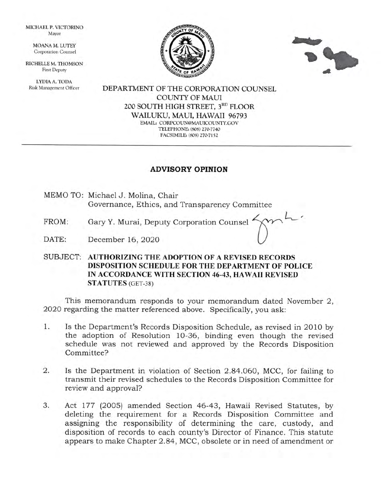MICHAEL P. VICTORINO Mayor

> MOANAM. LUTEY Corporation Counsel

RICHELLE M. THOMSON First Deputy

LYDIAA. TODA Risk Management Officer





 $L$ 

DEPARTMENT OF THE CORPORATION COLINSEL COLINTY OF MAUI 2OO SOUTH HIGH STREET, 3RD FLOOR WAILUKU, MAUI, HAWAII 96793 EMAIL: CORPCOUN@MAUICOUNTY.GOV TELEPHONE: (808) 270-7740 FACSIMILE: (808) 270-7152

## ADVISORY OPINION

- MEMO TO: Michael J. Molina, Chair Governance, Ethics, and Transparency Committee
- FROM: Gary Y. Murai, Deputy Corporation Counsel
- December 16, 2O2O DATE:
- SUBJECT: AUTHORIZING THE ADOPTION OF A REVISED RECORDS DISPOSITION SCHEDULE FOR THE DEPARTMENT OF POLICE IN ACCORDANCE WITH SECTION 46-43, HAWAII REVISED STATUTES (GET-38)

This memorandum responds to your memorandum dated November 2, 2O2O regarding the matter referenced above. Specifically, you ask:

- 1 Is the Department's Records Disposition Schedule, as revised in 2010 by the adoption of Resolution 10-36, binding even though the revised schedule was not reviewed and approved by the Records Disposition Committee?
- Is the Department in violation of Section 2.84.060, MCC, for failing to transmit their revised schedules to the Records Disposition Committee for review and approval? 2.
- Act 177 (2005) amended Section 46-43, Hawaii Revised Statutes, by deleting the requirement for a Records Disposition Committee and assigning the responsibility of determining the care, custody, and disposition of records to each county's Director of Finance. This statute appears to make Chapter 2.84, MCC, obsolete or in need of amendment or 3.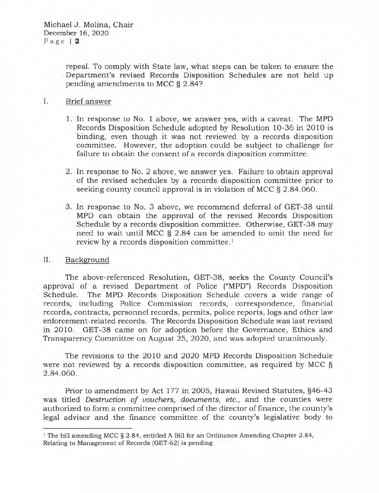repeal. To comply with State law, what steps can be taken to ensure the Department's revised Records Disposition Schedules are not held up pending amendments to MCC g 2.84?

## I. Brief answer

- 1. In response to No. 1 above, we answer yes, with a caveat. The MPD Records Disposition Schedule adopted by Resolution 10-36 in 2010 is binding, even though it was not reviewed by a records disposition committee. However, the adoption could be subject to challenge for failure to obtain the consent of a records disposition committee.
- 2. In response to No. 2 above, we answeryes. Failure to obtain approval of the revised schedules by a records disposition committee prior to seeking county council approval is in violation of MCC § 2.84.060.
- 3. In response to No. 3 above, we recommend deferral of GET-38 until MPD can obtain the approval of the revised Records Disposition Schedule by a records disposition committee. Otherwise, GET-38 may need to wait until MCC S 2.84 can be amended to omit the need for review by a records disposition committee.<sup>1</sup>

## II. Backqround

The above-referenced Resolution, GET-38, seeks the County Council's approval of a revised Department of Police ("MPD") Records Disposition Schedule. The MPD Records Disposition Schedule covers a wide range of records, including Police Commission records, correspondence, financial records, contracts, personnel records, permits, police reports, logs and other law enforcement-related records. The Records Disposition Schedule was last revised in 2010. GET-38 came on for adoption before the Governance, Ethics and Transparency Committee on August 25,2O2O, and was adopted unanimously.

The revisions to the 2010 and 2O2O MPD Records Disposition Schedule were not reviewed by a records disposition committee, as required by MCC \$ 2.84.060.

Prior to amendment by Act 177 in 2005, Hawaii Revised Statutes, 546-43 was titled Destruction of uouchers, documents, etc., and the counties were authorized to form a committee comprised of the director of finance, the county's legal advisor and the finance committee of the county's legislative body to

<sup>&</sup>lt;sup>1</sup> The bill amending MCC § 2.84, entitled A Bill for an Ordinance Amending Chapter 2.84, Relating to Management of Records (GET-62) is pending.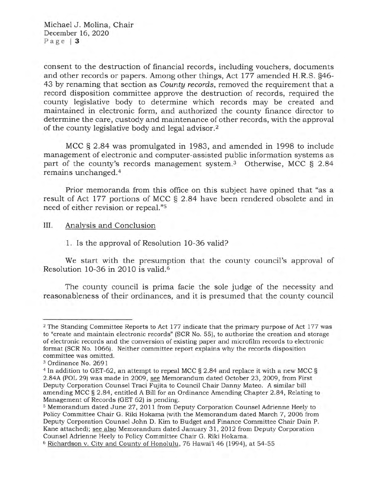Michael J. Molina, Chair December 16,2O2O Page | 3

consent to the destruction of financial records, including vouchers, documents and other records or papers. Among other things, Act 177 amended H.R.S. 546- 43 by renaming that section as *County records*, removed the requirement that a record disposition committee approve the destruction of records, required the county legislative body to determine which records may be created and maintained in electronic form, and authorized the county finance director to determine the care, custody and maintenance of other records, with the approval of the county legislative body and legal advisor.2

MCC S 2.84 was promulgated in 1983, and amended in 1998 to include management of electronic and computer-assisted public information systems as part of the county's records management system.<sup>3</sup> Otherwise, MCC  $\S$  2.84 remains unchanged.<sup>4</sup>

Prior memoranda from this office on this subject have opined that "as a result of Act 177 portions of MCC S 2.84 have been rendered obsolete and in need of either revision or repeal."s

III. Analysis and Conclusion

1. Is the approval of Resolution 10-36 valid?

We start with the presumption that the county council's approval of Resolution 10-36 in 2010 is valid. $6$ 

The county council is prima facie the sole judge of the necessity and reasonableness of their ordinances, and it is presumed that the county council

<sup>&</sup>lt;sup>2</sup> The Standing Committee Reports to Act 177 indicate that the primary purpose of Act 177 was to "create and maintain electronic records" (SCR No. 55), to authorize the creation and storage of electronic records and the conversion of existing paper and microfilm records to electronic format (SCR No. 1066). Neither committee report explains why the records disposition committee was omitted.

<sup>3</sup> Ordinance No. 2691

<sup>&</sup>lt;sup>4</sup> In addition to GET-62, an attempt to repeal MCC § 2.84 and replace it with a new MCC § 2.84A(POL29l was made in 2009, see Memorandum dated October 23,2OO9, from First Deputy Corporation Counsel Traci Fujita to Council Chair Danny Mateo. A similar bill amending MCC S 2.84, entitled A Bill for an Ordinance Amending Chapter 2.84, Relating to Management of Records (GET 62) is pending.

s Memorandum dated June 27,2011 from Deputy Corporation Counsel Adrienne Heely to Policy Committee Chair G. Riki Hokama (with the Memorandum dated March 7, 2006 from Deputy Corporation Counsel John D. Kim to Budget and Finance Committee Chair Dain P. Kane attached); see also Memorandum dated January 3l,2Ol2 from Deputy Corporation Counsel Adrienne Heely to Policy Committee Chair G. Riki Hokama.

<sup>6</sup> Richardson v. City and Countv of Honolulu, 76 Hawai'i 46 (1994), at 54-55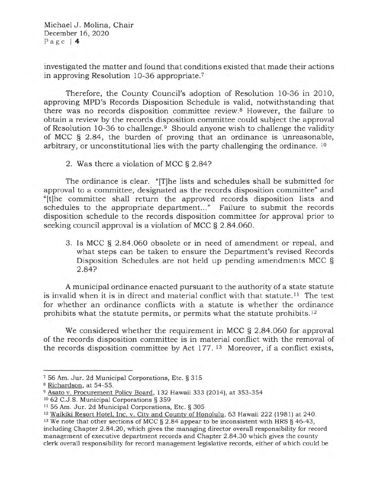Michael J. Molina, Chair December 16,2O2O Page | 4

investigated the matter and found that conditions existed that made their actions in approving Resolution 10-36 appropriate.<sup>7</sup>

Therefore, the County Council's adoption of Resolution 10-36 in 2010, approving MPD's Records Disposition Schedule is valid, notwithstanding that there was no records disposition committee review.8 However, the failure to obtain a review by the records disposition committee could subject the approval of Resolution 10-36 to challenge.<sup>9</sup> Should anyone wish to challenge the validity of MCC S 2.84, the burden of proving that an ordinance is unreasonable, arbitrary, or unconstitutional lies with the party challenging the ordinance. <sup>10</sup>

2. Was there a violation of MCC § 2.84?

The ordinance is clear. "[T]he lists and schedules shall be submitted for approval to a committee, designated as the records disposition committee" and "It]he committee shall return the approved records disposition lists and schedules to the appropriate department..." Failure to submit the records disposition schedule to the records disposition committee for approval prior to seeking council approval is a violation of MCC § 2.84.060.

3. Is MCC S 2.84.060 obsolete or in need of amendment or repeal, and what steps can be taken to ensure the Department's revised Records Disposition Schedules are not held up pending amendments MCC <sup>S</sup> 2.84?

A municipal ordinance enacted pursuant to the authority of a state statute is invalid when it is in direct and material conflict with that statute.<sup>11</sup> The test for whether an ordinance conflicts with a statute is whether the ordinance prohibits what the statute permits, or permits what the statute prohibits.12

We considered whether the requirement in MCC § 2.84.060 for approval of the records disposition committee is in material conflict with the removal of the records disposition committee by Act  $177$ . <sup>13</sup> Moreover, if a conflict exists,

<sup>7</sup>56 Am. Jur. 2d Municipal Corporations, Etc. S 315

<sup>8</sup> Richardson, at 54-55.

<sup>&</sup>lt;sup>9</sup> Asato v. Procurement Policy Board, 132 Hawaii 333 (2014), at 353-354

<sup>&</sup>lt;sup>10</sup> 62 C.J.S. Municipal Corporations § 359

<sup>&</sup>lt;sup>11</sup> 56 Am. Jur. 2d Municipal Corporations, Etc. § 305

<sup>&</sup>lt;sup>12</sup> Waikiki Resort Hotel, Inc. v. City and County of Honolulu, 63 Hawaii 222 (1981) at 240.

 $13$  We note that other sections of MCC § 2.84 appear to be inconsistent with HRS § 46-43, including Chapter 2.84.2O, which gives the managing director overall responsibility for record management of executive department records and Chapter 2.84.3O which gives the county clerk overall responsibility for record management legislative records, either of which could be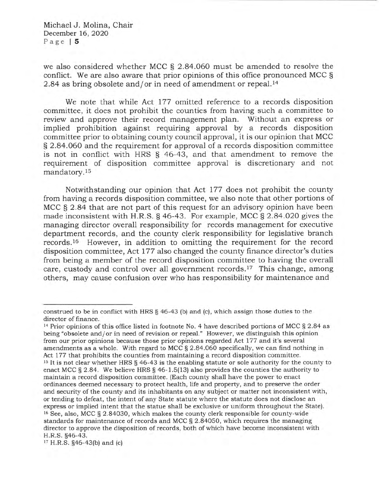Michael J. Molina, Chair December 16,2O2O Page l5

we also considered whether MCC S 2.84.060 must be amended to resolve the conflict. We are also aware that prior opinions of this office pronounced MCC \$ 2.84 as bring obsolete and/or in need of amendment or repeal. $^{14}$ 

We note that while Act I77 omitted reference to a records disposition committee, it does not prohibit the counties from having such a committee to review and approve their record management plan. Without an express or implied prohibition against requiring approval by a records disposition committee prior to obtaining county council approval, it is our opinion that MCC S 2.84.060 and the requirement for approval of a records disposition committee is not in conflict with HRS S 46-43, and that amendment to remove the requirement of disposition committee approval is discretionary and not mandatory.<sup>15</sup>

Notwithstanding our opinion that Act 177 does not prohibit the county from having a records disposition committee, we also note that other portions of MCC S 2.84 that are not part of this request for an advisory opinion have been made inconsistent with H.R.S. § 46-43. For example, MCC § 2.84.020 gives the managing director overall responsibility for records management for executive department records, and the county clerk responsibility for legislative branch records.l6 However, in addition to omitting the requirement for the record disposition committee, Act 177 also changed the county finance director's duties from being a member of the record disposition committee to having the overall care, custody and control over all government records.<sup>17</sup> This change, among others, may cause confusion over who has responsibility for maintenance and

<sup>14</sup> Prior opinions of this office listed in footnote No. 4 have described portions of MCC  $\S 2.84$  as being "obsolete and/or in need of revision or repeal." However, we distinguish this opinion from our prior opinions because those prior opinions regarded Act I77 and it's several amendments as a whole. With regard to MCC S 2.84.060 specifically, we can find nothing in Act 177 that prohibits the counties from maintaining a record disposition committee. <sup>15</sup> It is not clear whether HRS § 46-43 is the enabling statute or sole authority for the county to enact MCC  $\S 2.84$ . We believe HRS  $\S 46-1.5(13)$  also provides the counties the authority to maintain a record disposition committee. (Each county shall have the power to enact ordinances deemed necessary to protect health, life and property, and to preserve the order and security of the county and its inhabitants on any subject or matter not inconsistent with, or tending to defeat, the intent of any State statute where the statute does not disclose an express or implied intent that the statue shall be exclusive or uniform throughout the State). <sup>16</sup> See, also, MCC § 2.84030, which makes the county clerk responsible for county-wide standards for maintenance of records and MCC S 2.84050, which requires the managing director to approve the disposition of records, both of which have become inconsistent with H.R.S. 546-43.

<sup>17</sup>H.R.S. S46-43(b) and (c)

construed to be in conflict with HRS S 46-43 (b) and (c), which assign those duties to the director of finance.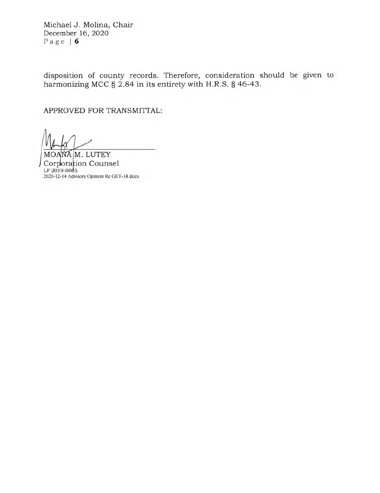Michael J. Molina, Chair December 16,2020 Page | <sup>6</sup>

disposition of county records. Therefore, consideration should be given to harmonizing MCC § 2.84 in its entirety with H.R.S. § 46-43.

APPROVED FOR TRANSMITTAL:

MOANA M. LUTEY Corporation Counsel LF 2019-0065 2020-12-14 Advisory Opinion Re GET-38.docx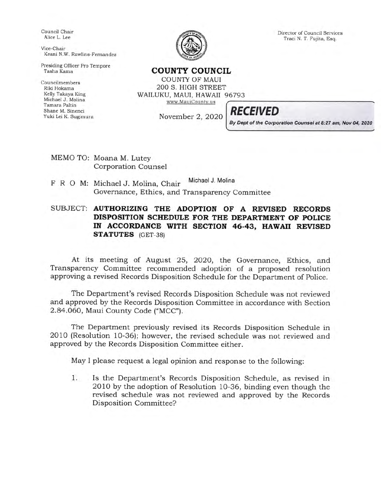Council Chair Alice L. Lee

Vice-Chair Keani N.W. Rawlins-Pernandez

Presiding Officer Pro Tempore Tasha Kama

Councilmembers Riki Hokama Kelly Takaya King Michael J. Molina Tamara Paltin Shane M. Sinenci Yuki Lei K. Sugimura

Director of Council Services Traci N. T. Fujita, Esq.

COUNTY COUNCIL COUNTY OF MAUI 2OO S. HIGH STREET

WAILUKU, MAUI, HAWAII 96793

www.MauiCounty.us

November 2, 2020  $RECEIVED$ 

By Dept of the Corporation Counsel at 8:27 am, Nov 04, 2020

MEMO TO: Moana M. Lutey Corporation Counsel

F R O M: Michael J. Molina, Chair Michael J. Molina Governance, Ethics, and Transparency Committee

SUBJECT: AUTHORIZING THE ADOPTION OF A REVISED RECORDS DISPOSITION SCHEDULE FOR THE DEPARTMENT OF POLICE IN ACCORDANCE WITH SECTION 46-43, HAWATI REVISED STATUTES (GET-38)

At its meeting of August 25, 2O2O, the Governance, Ethics, and Transparency Committee recommended adoption of a proposed resolution approving a revised Records Disposition Schedule for the Department of Police.

The Department's revised Records Disposition Schedule was not reviewed and approved by the Records Disposition Committee in accordance with Section 2.84.060, Maui County Code ("MCC").

The Department previously revised its Records Disposition Schedule in 2010 (Resolution 1O-36); however, the revised schedule was not reviewed and approved by the Records Disposition Committee either.

May I please request a legal opinion and response to the following:

Is the Department's Records Disposition Schedule, as revised in 2010 by the adoption of Resolution 10-36, binding even though the revised schedule was not reviewed and approved by the Records Disposition Committee? 1